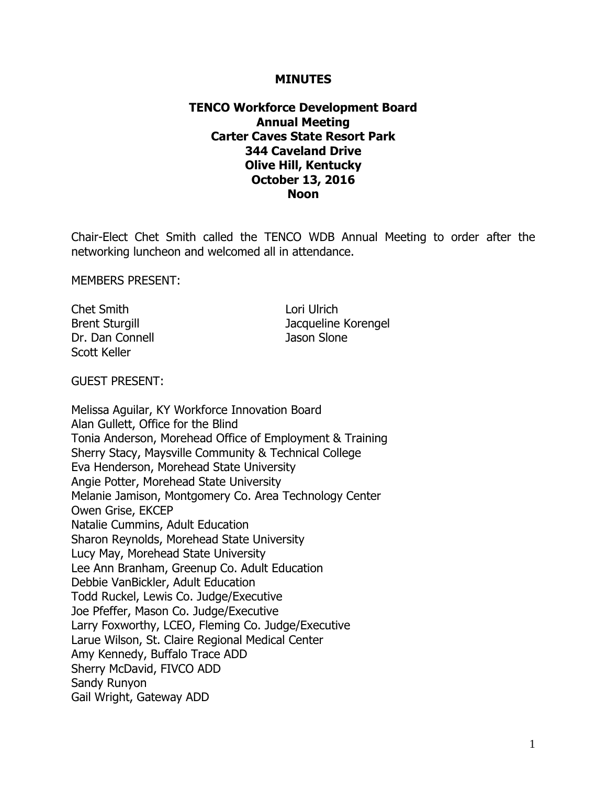#### **MINUTES**

## **TENCO Workforce Development Board Annual Meeting Carter Caves State Resort Park 344 Caveland Drive Olive Hill, Kentucky October 13, 2016 Noon**

Chair-Elect Chet Smith called the TENCO WDB Annual Meeting to order after the networking luncheon and welcomed all in attendance.

MEMBERS PRESENT:

Chet Smith Lori Ulrich Dr. Dan Connell Jason Slone Scott Keller

Brent Sturgill **Brent Sturgill** Jacqueline Korengel

GUEST PRESENT:

Melissa Aguilar, KY Workforce Innovation Board Alan Gullett, Office for the Blind Tonia Anderson, Morehead Office of Employment & Training Sherry Stacy, Maysville Community & Technical College Eva Henderson, Morehead State University Angie Potter, Morehead State University Melanie Jamison, Montgomery Co. Area Technology Center Owen Grise, EKCEP Natalie Cummins, Adult Education Sharon Reynolds, Morehead State University Lucy May, Morehead State University Lee Ann Branham, Greenup Co. Adult Education Debbie VanBickler, Adult Education Todd Ruckel, Lewis Co. Judge/Executive Joe Pfeffer, Mason Co. Judge/Executive Larry Foxworthy, LCEO, Fleming Co. Judge/Executive Larue Wilson, St. Claire Regional Medical Center Amy Kennedy, Buffalo Trace ADD Sherry McDavid, FIVCO ADD Sandy Runyon Gail Wright, Gateway ADD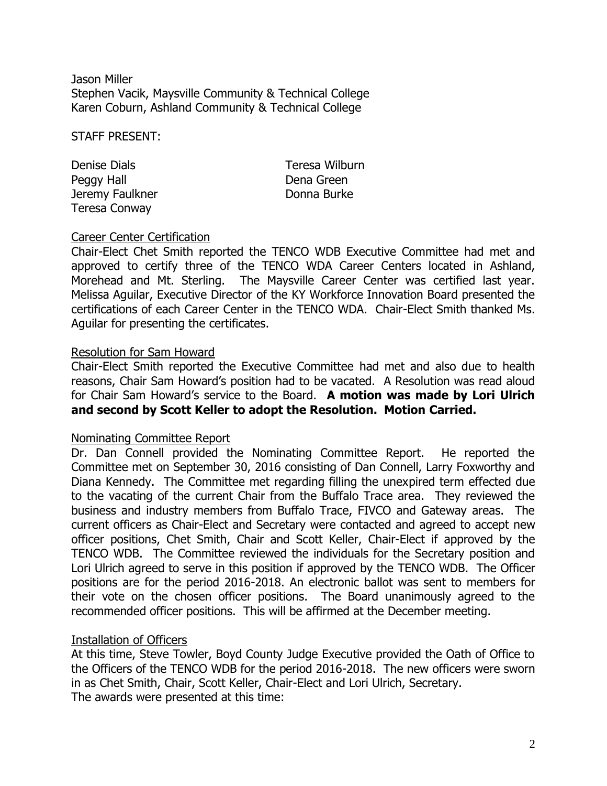Jason Miller Stephen Vacik, Maysville Community & Technical College Karen Coburn, Ashland Community & Technical College

STAFF PRESENT:

Denise Dials Teresa Wilburn Peggy Hall **Dena Green** Jeremy Faulkner **Donna Burke** Teresa Conway

# Career Center Certification

Chair-Elect Chet Smith reported the TENCO WDB Executive Committee had met and approved to certify three of the TENCO WDA Career Centers located in Ashland, Morehead and Mt. Sterling. The Maysville Career Center was certified last year. Melissa Aguilar, Executive Director of the KY Workforce Innovation Board presented the certifications of each Career Center in the TENCO WDA. Chair-Elect Smith thanked Ms. Aguilar for presenting the certificates.

### Resolution for Sam Howard

Chair-Elect Smith reported the Executive Committee had met and also due to health reasons, Chair Sam Howard's position had to be vacated. A Resolution was read aloud for Chair Sam Howard's service to the Board. **A motion was made by Lori Ulrich and second by Scott Keller to adopt the Resolution. Motion Carried.**

### Nominating Committee Report

Dr. Dan Connell provided the Nominating Committee Report. He reported the Committee met on September 30, 2016 consisting of Dan Connell, Larry Foxworthy and Diana Kennedy. The Committee met regarding filling the unexpired term effected due to the vacating of the current Chair from the Buffalo Trace area. They reviewed the business and industry members from Buffalo Trace, FIVCO and Gateway areas. The current officers as Chair-Elect and Secretary were contacted and agreed to accept new officer positions, Chet Smith, Chair and Scott Keller, Chair-Elect if approved by the TENCO WDB. The Committee reviewed the individuals for the Secretary position and Lori Ulrich agreed to serve in this position if approved by the TENCO WDB. The Officer positions are for the period 2016-2018. An electronic ballot was sent to members for their vote on the chosen officer positions. The Board unanimously agreed to the recommended officer positions. This will be affirmed at the December meeting.

### Installation of Officers

At this time, Steve Towler, Boyd County Judge Executive provided the Oath of Office to the Officers of the TENCO WDB for the period 2016-2018. The new officers were sworn in as Chet Smith, Chair, Scott Keller, Chair-Elect and Lori Ulrich, Secretary. The awards were presented at this time: